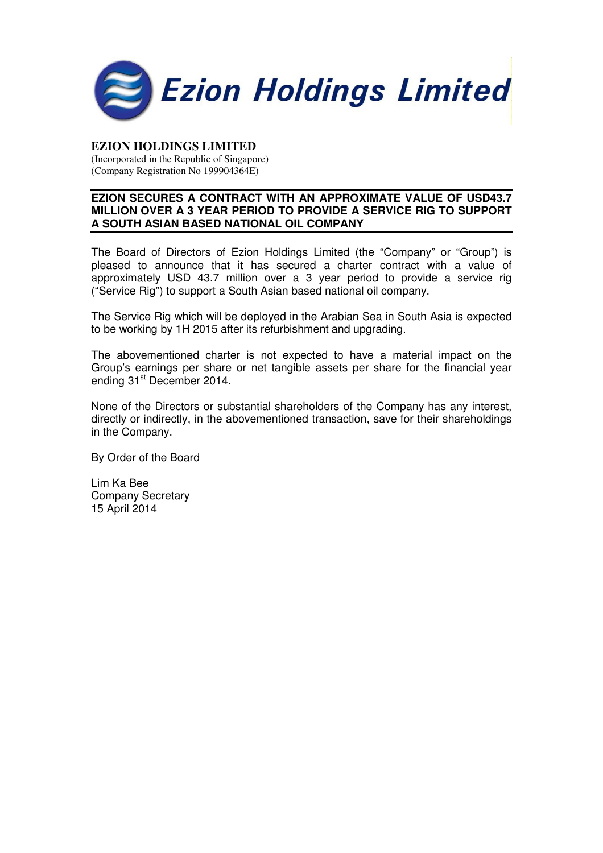

## **EZION HOLDINGS LIMITED**

(Incorporated in the Republic of Singapore) (Company Registration No 199904364E)

#### **EZION SECURES A CONTRACT WITH AN APPROXIMATE VALUE OF USD43.7 MILLION OVER A 3 YEAR PERIOD TO PROVIDE A SERVICE RIG TO SUPPORT A SOUTH ASIAN BASED NATIONAL OIL COMPANY**

The Board of Directors of Ezion Holdings Limited (the "Company" or "Group") is pleased to announce that it has secured a charter contract with a value of approximately USD 43.7 million over a 3 year period to provide a service rig ("Service Rig") to support a South Asian based national oil company.

The Service Rig which will be deployed in the Arabian Sea in South Asia is expected to be working by 1H 2015 after its refurbishment and upgrading.

The abovementioned charter is not expected to have a material impact on the Group's earnings per share or net tangible assets per share for the financial year ending 31<sup>st</sup> December 2014.

None of the Directors or substantial shareholders of the Company has any interest, directly or indirectly, in the abovementioned transaction, save for their shareholdings in the Company.

By Order of the Board

Lim Ka Bee Company Secretary 15 April 2014